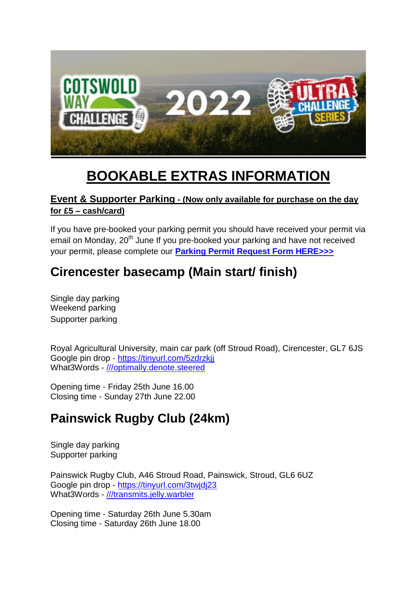

# **BOOKABLE EXTRAS INFORMATION**

## **Event & Supporter Parking - (Now only available for purchase on the day for £5 – cash/card)**

If you have pre-booked your parking permit you should have received your permit via email on Monday, 20<sup>th</sup> June If you pre-booked your parking and have not received your permit, please complete our **[Parking Permit Request Form HERE>>>](https://airtable.com/shr8iW8ztJR9bxTeX)**

## **Cirencester basecamp (Main start/ finish)**

Single day parking Weekend parking Supporter parking

Royal Agricultural University, main car park (off Stroud Road), Cirencester, GL7 6JS Google pin drop - <https://tinyurl.com/5zdrzkjj> What3Words - [///optimally.denote.steered](https://w3w.co/optimally.denote.steered)

Opening time - Friday 25th June 16.00 Closing time - Sunday 27th June 22.00

## **Painswick Rugby Club (24km)**

Single day parking Supporter parking

Painswick Rugby Club, A46 Stroud Road, Painswick, Stroud, GL6 6UZ Google pin drop - <https://tinyurl.com/3twjdj23> What3Words - [///transmits.jelly.warbler](https://w3w.co/transmits.jelly.warbler)

Opening time - Saturday 26th June 5.30am Closing time - Saturday 26th June 18.00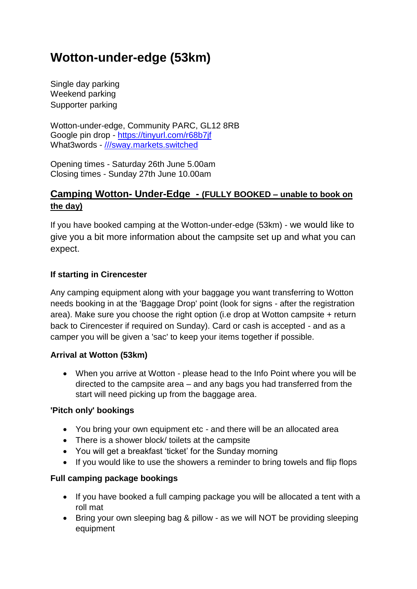## **Wotton-under-edge (53km)**

Single day parking Weekend parking Supporter parking

Wotton-under-edge, Community PARC, GL12 8RB Google pin drop - <https://tinyurl.com/r68b7jf> What3words - [///sway.markets.switched](https://w3w.co/sway.markets.switched)

Opening times - Saturday 26th June 5.00am Closing times - Sunday 27th June 10.00am

## **Camping Wotton- Under-Edge - (FULLY BOOKED – unable to book on the day)**

If you have booked camping at the Wotton-under-edge (53km) - we would like to give you a bit more information about the campsite set up and what you can expect.

#### **If starting in Cirencester**

Any camping equipment along with your baggage you want transferring to Wotton needs booking in at the 'Baggage Drop' point (look for signs - after the registration area). Make sure you choose the right option (i.e drop at Wotton campsite + return back to Cirencester if required on Sunday). Card or cash is accepted - and as a camper you will be given a 'sac' to keep your items together if possible.

#### **Arrival at Wotton (53km)**

 When you arrive at Wotton - please head to the Info Point where you will be directed to the campsite area – and any bags you had transferred from the start will need picking up from the baggage area.

#### **'Pitch only' bookings**

- You bring your own equipment etc and there will be an allocated area
- There is a shower block/ toilets at the campsite
- You will get a breakfast 'ticket' for the Sunday morning
- If you would like to use the showers a reminder to bring towels and flip flops

#### **Full camping package bookings**

- If you have booked a full camping package you will be allocated a tent with a roll mat
- Bring your own sleeping bag & pillow as we will NOT be providing sleeping equipment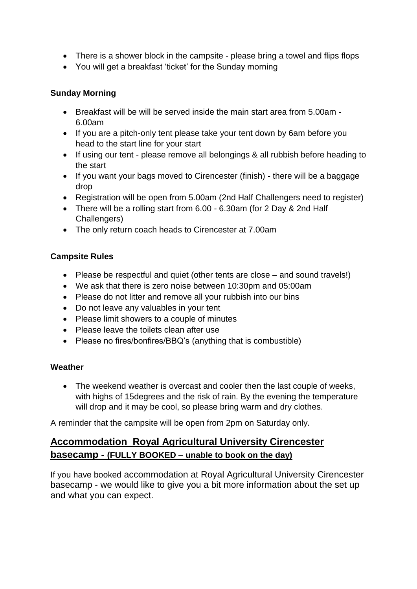- There is a shower block in the campsite please bring a towel and flips flops
- You will get a breakfast 'ticket' for the Sunday morning

#### **Sunday Morning**

- $\bullet$  Breakfast will be will be served inside the main start area from 5.00am -6.00am
- If you are a pitch-only tent please take your tent down by 6am before you head to the start line for your start
- If using our tent please remove all belongings & all rubbish before heading to the start
- If you want your bags moved to Cirencester (finish) there will be a baggage drop
- Registration will be open from 5.00am (2nd Half Challengers need to register)
- There will be a rolling start from 6.00 6.30am (for 2 Day & 2nd Half Challengers)
- The only return coach heads to Cirencester at 7.00am

#### **Campsite Rules**

- Please be respectful and quiet (other tents are close and sound travels!)
- We ask that there is zero noise between 10:30pm and 05:00am
- Please do not litter and remove all your rubbish into our bins
- Do not leave any valuables in your tent
- Please limit showers to a couple of minutes
- Please leave the toilets clean after use
- Please no fires/bonfires/BBQ's (anything that is combustible)

#### **Weather**

• The weekend weather is overcast and cooler then the last couple of weeks, with highs of 15degrees and the risk of rain. By the evening the temperature will drop and it may be cool, so please bring warm and dry clothes.

A reminder that the campsite will be open from 2pm on Saturday only.

## **Accommodation Royal Agricultural University Cirencester basecamp - (FULLY BOOKED – unable to book on the day)**

If you have booked accommodation at Royal Agricultural University Cirencester basecamp - we would like to give you a bit more information about the set up and what you can expect.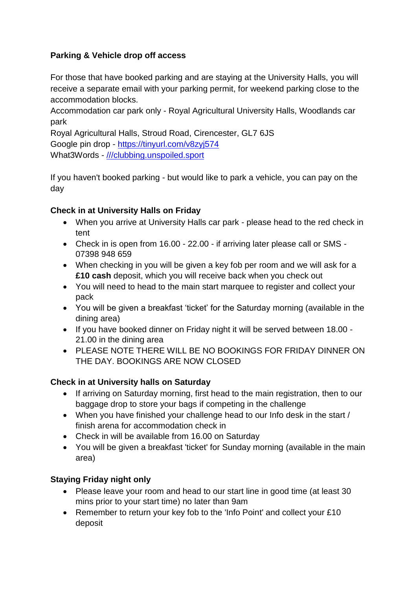## **Parking & Vehicle drop off access**

For those that have booked parking and are staying at the University Halls, you will receive a separate email with your parking permit, for weekend parking close to the accommodation blocks.

Accommodation car park only - Royal Agricultural University Halls, Woodlands car park

Royal Agricultural Halls, Stroud Road, Cirencester, GL7 6JS Google pin drop - <https://tinyurl.com/v8zyj574> What3Words - [///clubbing.unspoiled.sport](https://w3w.co/clubbing.unspoiled.sport)

If you haven't booked parking - but would like to park a vehicle, you can pay on the day

## **Check in at University Halls on Friday**

- When you arrive at University Halls car park please head to the red check in tent
- Check in is open from 16.00 22.00 if arriving later please call or SMS 07398 948 659
- When checking in you will be given a key fob per room and we will ask for a **£10 cash** deposit, which you will receive back when you check out
- You will need to head to the main start marquee to register and collect your pack
- You will be given a breakfast 'ticket' for the Saturday morning (available in the dining area)
- If you have booked dinner on Friday night it will be served between 18.00 -21.00 in the dining area
- PLEASE NOTE THERE WILL BE NO BOOKINGS FOR FRIDAY DINNER ON THE DAY. BOOKINGS ARE NOW CLOSED

## **Check in at University halls on Saturday**

- If arriving on Saturday morning, first head to the main registration, then to our baggage drop to store your bags if competing in the challenge
- When you have finished your challenge head to our Info desk in the start / finish arena for accommodation check in
- Check in will be available from 16.00 on Saturday
- You will be given a breakfast 'ticket' for Sunday morning (available in the main area)

## **Staying Friday night only**

- Please leave your room and head to our start line in good time (at least 30 mins prior to your start time) no later than 9am
- Remember to return your key fob to the 'Info Point' and collect your £10 deposit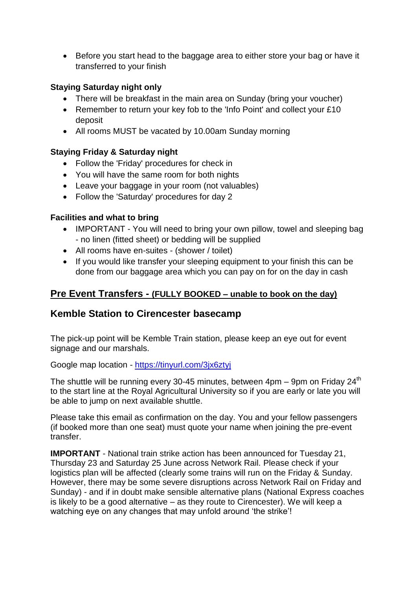• Before you start head to the baggage area to either store your bag or have it transferred to your finish

#### **Staying Saturday night only**

- There will be breakfast in the main area on Sunday (bring your voucher)
- Remember to return your key fob to the 'Info Point' and collect your £10 deposit
- All rooms MUST be vacated by 10.00am Sunday morning

#### **Staying Friday & Saturday night**

- Follow the 'Friday' procedures for check in
- You will have the same room for both nights
- Leave your baggage in your room (not valuables)
- Follow the 'Saturday' procedures for day 2

#### **Facilities and what to bring**

- IMPORTANT You will need to bring your own pillow, towel and sleeping bag - no linen (fitted sheet) or bedding will be supplied
- All rooms have en-suites (shower / toilet)
- If you would like transfer your sleeping equipment to your finish this can be done from our baggage area which you can pay on for on the day in cash

#### **Pre Event Transfers - (FULLY BOOKED – unable to book on the day)**

## **Kemble Station to Cirencester basecamp**

The pick-up point will be Kemble Train station, please keep an eye out for event signage and our marshals.

Google map location - <https://tinyurl.com/3jx6ztyj>

The shuttle will be running every 30-45 minutes, between  $4$ pm – 9pm on Fridav 24<sup>th</sup> to the start line at the Royal Agricultural University so if you are early or late you will be able to jump on next available shuttle.

Please take this email as confirmation on the day. You and your fellow passengers (if booked more than one seat) must quote your name when joining the pre-event transfer.

**IMPORTANT** - National train strike action has been announced for Tuesday 21, Thursday 23 and Saturday 25 June across Network Rail. Please check if your logistics plan will be affected (clearly some trains will run on the Friday & Sunday. However, there may be some severe disruptions across Network Rail on Friday and Sunday) - and if in doubt make sensible alternative plans (National Express coaches is likely to be a good alternative – as they route to Cirencester). We will keep a watching eye on any changes that may unfold around 'the strike'!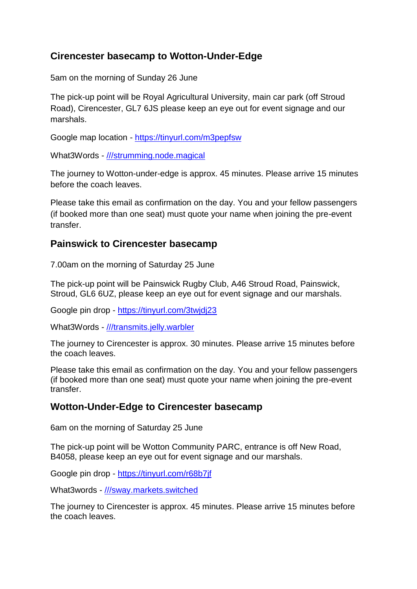## **Cirencester basecamp to Wotton-Under-Edge**

5am on the morning of Sunday 26 June

The pick-up point will be Royal Agricultural University, main car park (off Stroud Road), Cirencester, GL7 6JS please keep an eye out for event signage and our marshals.

Google map location - <https://tinyurl.com/m3pepfsw>

What3Words - [///strumming.node.magical](https://w3w.co/strumming.node.magical)

The journey to Wotton-under-edge is approx. 45 minutes. Please arrive 15 minutes before the coach leaves.

Please take this email as confirmation on the day. You and your fellow passengers (if booked more than one seat) must quote your name when joining the pre-event transfer.

## **Painswick to Cirencester basecamp**

7.00am on the morning of Saturday 25 June

The pick-up point will be Painswick Rugby Club, A46 Stroud Road, Painswick, Stroud, GL6 6UZ, please keep an eye out for event signage and our marshals.

Google pin drop - <https://tinyurl.com/3twjdj23>

What3Words - [///transmits.jelly.warbler](https://w3w.co/transmits.jelly.warbler)

The journey to Cirencester is approx. 30 minutes. Please arrive 15 minutes before the coach leaves.

Please take this email as confirmation on the day. You and your fellow passengers (if booked more than one seat) must quote your name when joining the pre-event transfer.

## **Wotton-Under-Edge to Cirencester basecamp**

6am on the morning of Saturday 25 June

The pick-up point will be Wotton Community PARC, entrance is off New Road, B4058, please keep an eye out for event signage and our marshals.

Google pin drop - <https://tinyurl.com/r68b7jf>

What3words - [///sway.markets.switched](https://w3w.co/sway.markets.switched)

The journey to Cirencester is approx. 45 minutes. Please arrive 15 minutes before the coach leaves.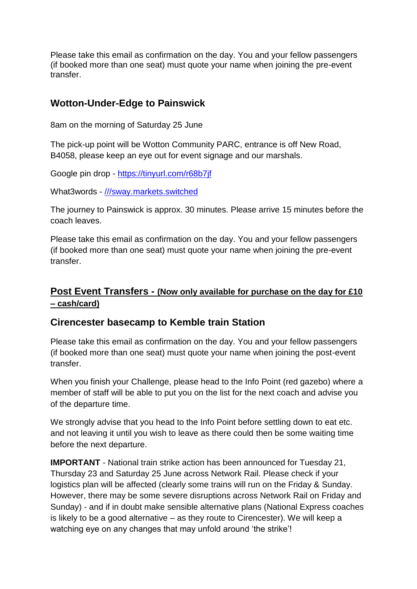Please take this email as confirmation on the day. You and your fellow passengers (if booked more than one seat) must quote your name when joining the pre-event transfer.

## **Wotton-Under-Edge to Painswick**

8am on the morning of Saturday 25 June

The pick-up point will be Wotton Community PARC, entrance is off New Road, B4058, please keep an eye out for event signage and our marshals.

Google pin drop - <https://tinyurl.com/r68b7jf>

What3words - [///sway.markets.switched](https://w3w.co/sway.markets.switched)

The journey to Painswick is approx. 30 minutes. Please arrive 15 minutes before the coach leaves.

Please take this email as confirmation on the day. You and your fellow passengers (if booked more than one seat) must quote your name when joining the pre-event transfer.

## **Post Event Transfers - (Now only available for purchase on the day for £10 – cash/card)**

## **Cirencester basecamp to Kemble train Station**

Please take this email as confirmation on the day. You and your fellow passengers (if booked more than one seat) must quote your name when joining the post-event transfer.

When you finish your Challenge, please head to the Info Point (red gazebo) where a member of staff will be able to put you on the list for the next coach and advise you of the departure time.

We strongly advise that you head to the Info Point before settling down to eat etc. and not leaving it until you wish to leave as there could then be some waiting time before the next departure.

**IMPORTANT** - National train strike action has been announced for Tuesday 21, Thursday 23 and Saturday 25 June across Network Rail. Please check if your logistics plan will be affected (clearly some trains will run on the Friday & Sunday. However, there may be some severe disruptions across Network Rail on Friday and Sunday) - and if in doubt make sensible alternative plans (National Express coaches is likely to be a good alternative – as they route to Cirencester). We will keep a watching eye on any changes that may unfold around 'the strike'!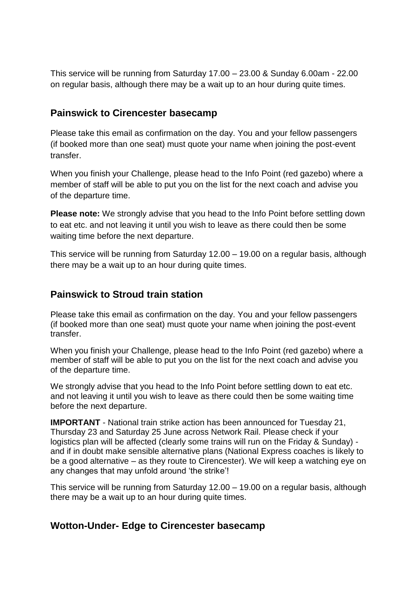This service will be running from Saturday 17.00 – 23.00 & Sunday 6.00am - 22.00 on regular basis, although there may be a wait up to an hour during quite times.

## **Painswick to Cirencester basecamp**

Please take this email as confirmation on the day. You and your fellow passengers (if booked more than one seat) must quote your name when joining the post-event transfer.

When you finish your Challenge, please head to the Info Point (red gazebo) where a member of staff will be able to put you on the list for the next coach and advise you of the departure time.

**Please note:** We strongly advise that you head to the Info Point before settling down to eat etc. and not leaving it until you wish to leave as there could then be some waiting time before the next departure.

This service will be running from Saturday 12.00 – 19.00 on a regular basis, although there may be a wait up to an hour during quite times.

## **Painswick to Stroud train station**

Please take this email as confirmation on the day. You and your fellow passengers (if booked more than one seat) must quote your name when joining the post-event transfer.

When you finish your Challenge, please head to the Info Point (red gazebo) where a member of staff will be able to put you on the list for the next coach and advise you of the departure time.

We strongly advise that you head to the Info Point before settling down to eat etc. and not leaving it until you wish to leave as there could then be some waiting time before the next departure.

**IMPORTANT** - National train strike action has been announced for Tuesday 21, Thursday 23 and Saturday 25 June across Network Rail. Please check if your logistics plan will be affected (clearly some trains will run on the Friday & Sunday) and if in doubt make sensible alternative plans (National Express coaches is likely to be a good alternative – as they route to Cirencester). We will keep a watching eye on any changes that may unfold around 'the strike'!

This service will be running from Saturday 12.00 – 19.00 on a regular basis, although there may be a wait up to an hour during quite times.

## **Wotton-Under- Edge to Cirencester basecamp**